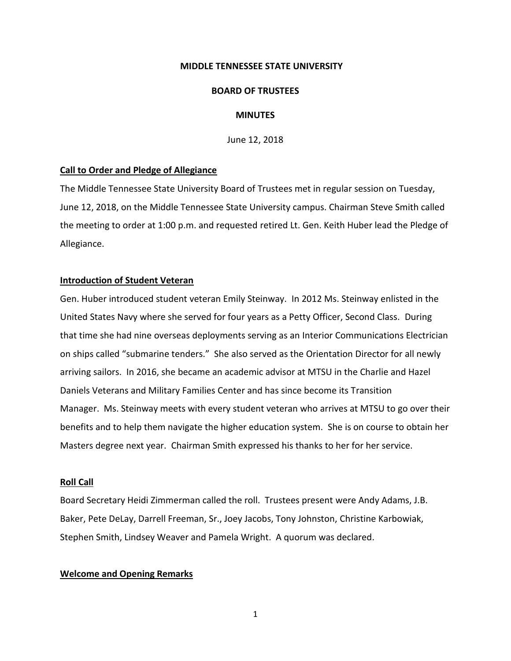### **MIDDLE TENNESSEE STATE UNIVERSITY**

#### **BOARD OF TRUSTEES**

### **MINUTES**

June 12, 2018

### **Call to Order and Pledge of Allegiance**

The Middle Tennessee State University Board of Trustees met in regular session on Tuesday, June 12, 2018, on the Middle Tennessee State University campus. Chairman Steve Smith called the meeting to order at 1:00 p.m. and requested retired Lt. Gen. Keith Huber lead the Pledge of Allegiance.

### **Introduction of Student Veteran**

Gen. Huber introduced student veteran Emily Steinway. In 2012 Ms. Steinway enlisted in the United States Navy where she served for four years as a Petty Officer, Second Class. During that time she had nine overseas deployments serving as an Interior Communications Electrician on ships called "submarine tenders." She also served as the Orientation Director for all newly arriving sailors. In 2016, she became an academic advisor at MTSU in the Charlie and Hazel Daniels Veterans and Military Families Center and has since become its Transition Manager. Ms. Steinway meets with every student veteran who arrives at MTSU to go over their benefits and to help them navigate the higher education system. She is on course to obtain her Masters degree next year. Chairman Smith expressed his thanks to her for her service.

## **Roll Call**

Board Secretary Heidi Zimmerman called the roll. Trustees present were Andy Adams, J.B. Baker, Pete DeLay, Darrell Freeman, Sr., Joey Jacobs, Tony Johnston, Christine Karbowiak, Stephen Smith, Lindsey Weaver and Pamela Wright. A quorum was declared.

### **Welcome and Opening Remarks**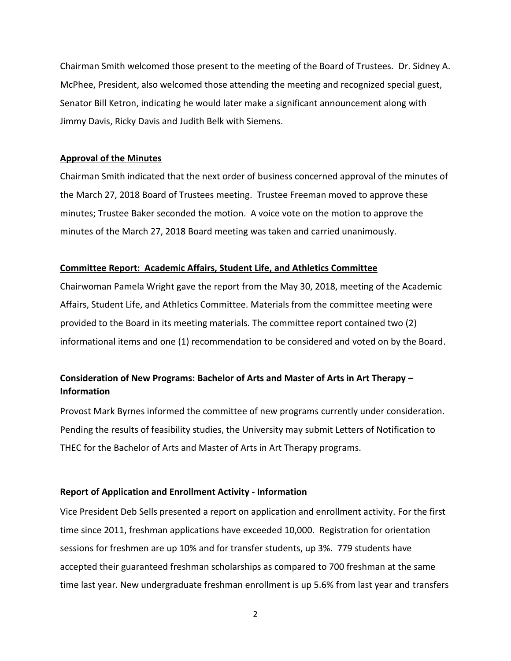Chairman Smith welcomed those present to the meeting of the Board of Trustees. Dr. Sidney A. McPhee, President, also welcomed those attending the meeting and recognized special guest, Senator Bill Ketron, indicating he would later make a significant announcement along with Jimmy Davis, Ricky Davis and Judith Belk with Siemens.

## **Approval of the Minutes**

Chairman Smith indicated that the next order of business concerned approval of the minutes of the March 27, 2018 Board of Trustees meeting. Trustee Freeman moved to approve these minutes; Trustee Baker seconded the motion. A voice vote on the motion to approve the minutes of the March 27, 2018 Board meeting was taken and carried unanimously.

## **Committee Report: Academic Affairs, Student Life, and Athletics Committee**

Chairwoman Pamela Wright gave the report from the May 30, 2018, meeting of the Academic Affairs, Student Life, and Athletics Committee. Materials from the committee meeting were provided to the Board in its meeting materials. The committee report contained two (2) informational items and one (1) recommendation to be considered and voted on by the Board.

# **Consideration of New Programs: Bachelor of Arts and Master of Arts in Art Therapy – Information**

Provost Mark Byrnes informed the committee of new programs currently under consideration. Pending the results of feasibility studies, the University may submit Letters of Notification to THEC for the Bachelor of Arts and Master of Arts in Art Therapy programs.

## **Report of Application and Enrollment Activity - Information**

Vice President Deb Sells presented a report on application and enrollment activity. For the first time since 2011, freshman applications have exceeded 10,000. Registration for orientation sessions for freshmen are up 10% and for transfer students, up 3%. 779 students have accepted their guaranteed freshman scholarships as compared to 700 freshman at the same time last year. New undergraduate freshman enrollment is up 5.6% from last year and transfers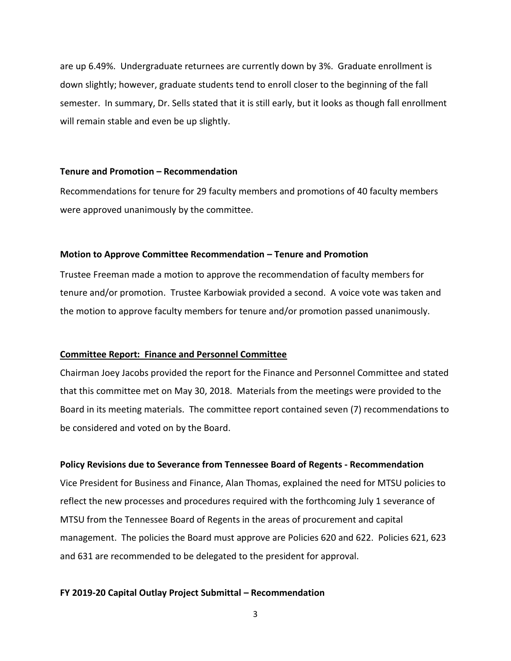are up 6.49%. Undergraduate returnees are currently down by 3%. Graduate enrollment is down slightly; however, graduate students tend to enroll closer to the beginning of the fall semester. In summary, Dr. Sells stated that it is still early, but it looks as though fall enrollment will remain stable and even be up slightly.

### **Tenure and Promotion – Recommendation**

Recommendations for tenure for 29 faculty members and promotions of 40 faculty members were approved unanimously by the committee.

#### **Motion to Approve Committee Recommendation – Tenure and Promotion**

Trustee Freeman made a motion to approve the recommendation of faculty members for tenure and/or promotion. Trustee Karbowiak provided a second. A voice vote was taken and the motion to approve faculty members for tenure and/or promotion passed unanimously.

#### **Committee Report: Finance and Personnel Committee**

Chairman Joey Jacobs provided the report for the Finance and Personnel Committee and stated that this committee met on May 30, 2018. Materials from the meetings were provided to the Board in its meeting materials. The committee report contained seven (7) recommendations to be considered and voted on by the Board.

#### **Policy Revisions due to Severance from Tennessee Board of Regents - Recommendation**

Vice President for Business and Finance, Alan Thomas, explained the need for MTSU policies to reflect the new processes and procedures required with the forthcoming July 1 severance of MTSU from the Tennessee Board of Regents in the areas of procurement and capital management. The policies the Board must approve are Policies 620 and 622. Policies 621, 623 and 631 are recommended to be delegated to the president for approval.

#### **FY 2019-20 Capital Outlay Project Submittal – Recommendation**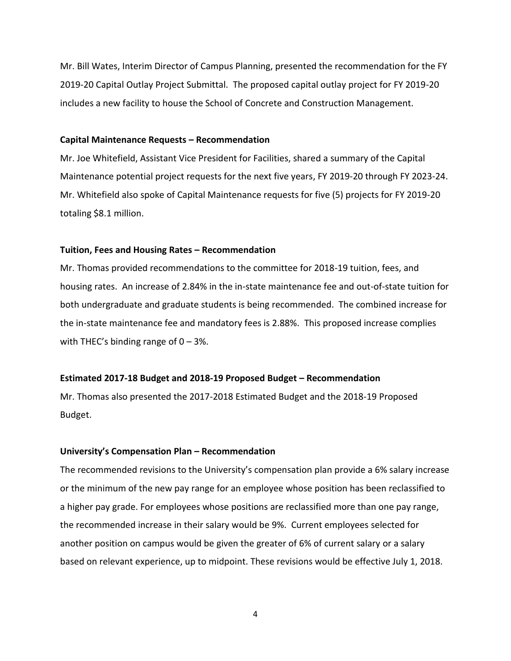Mr. Bill Wates, Interim Director of Campus Planning, presented the recommendation for the FY 2019-20 Capital Outlay Project Submittal. The proposed capital outlay project for FY 2019-20 includes a new facility to house the School of Concrete and Construction Management.

### **Capital Maintenance Requests – Recommendation**

Mr. Joe Whitefield, Assistant Vice President for Facilities, shared a summary of the Capital Maintenance potential project requests for the next five years, FY 2019-20 through FY 2023-24. Mr. Whitefield also spoke of Capital Maintenance requests for five (5) projects for FY 2019-20 totaling \$8.1 million.

#### **Tuition, Fees and Housing Rates – Recommendation**

Mr. Thomas provided recommendations to the committee for 2018-19 tuition, fees, and housing rates. An increase of 2.84% in the in-state maintenance fee and out-of-state tuition for both undergraduate and graduate students is being recommended. The combined increase for the in-state maintenance fee and mandatory fees is 2.88%. This proposed increase complies with THEC's binding range of  $0 - 3%$ .

#### **Estimated 2017-18 Budget and 2018-19 Proposed Budget – Recommendation**

Mr. Thomas also presented the 2017-2018 Estimated Budget and the 2018-19 Proposed Budget.

#### **University's Compensation Plan – Recommendation**

The recommended revisions to the University's compensation plan provide a 6% salary increase or the minimum of the new pay range for an employee whose position has been reclassified to a higher pay grade. For employees whose positions are reclassified more than one pay range, the recommended increase in their salary would be 9%. Current employees selected for another position on campus would be given the greater of 6% of current salary or a salary based on relevant experience, up to midpoint. These revisions would be effective July 1, 2018.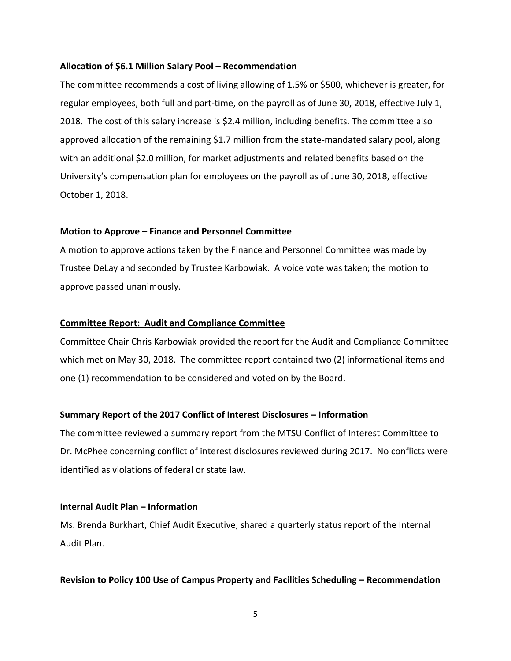### **Allocation of \$6.1 Million Salary Pool – Recommendation**

The committee recommends a cost of living allowing of 1.5% or \$500, whichever is greater, for regular employees, both full and part-time, on the payroll as of June 30, 2018, effective July 1, 2018. The cost of this salary increase is \$2.4 million, including benefits. The committee also approved allocation of the remaining \$1.7 million from the state-mandated salary pool, along with an additional \$2.0 million, for market adjustments and related benefits based on the University's compensation plan for employees on the payroll as of June 30, 2018, effective October 1, 2018.

### **Motion to Approve – Finance and Personnel Committee**

A motion to approve actions taken by the Finance and Personnel Committee was made by Trustee DeLay and seconded by Trustee Karbowiak. A voice vote was taken; the motion to approve passed unanimously.

## **Committee Report: Audit and Compliance Committee**

Committee Chair Chris Karbowiak provided the report for the Audit and Compliance Committee which met on May 30, 2018. The committee report contained two (2) informational items and one (1) recommendation to be considered and voted on by the Board.

## **Summary Report of the 2017 Conflict of Interest Disclosures – Information**

The committee reviewed a summary report from the MTSU Conflict of Interest Committee to Dr. McPhee concerning conflict of interest disclosures reviewed during 2017. No conflicts were identified as violations of federal or state law.

#### **Internal Audit Plan – Information**

Ms. Brenda Burkhart, Chief Audit Executive, shared a quarterly status report of the Internal Audit Plan.

### **Revision to Policy 100 Use of Campus Property and Facilities Scheduling – Recommendation**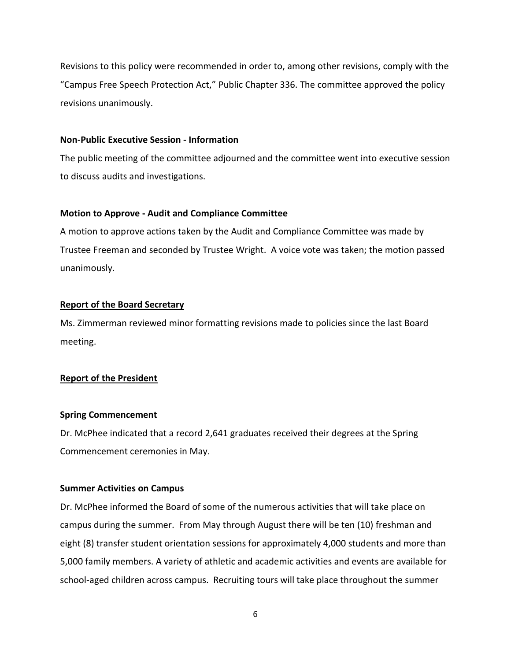Revisions to this policy were recommended in order to, among other revisions, comply with the "Campus Free Speech Protection Act," Public Chapter 336. The committee approved the policy revisions unanimously.

### **Non-Public Executive Session - Information**

The public meeting of the committee adjourned and the committee went into executive session to discuss audits and investigations.

#### **Motion to Approve - Audit and Compliance Committee**

A motion to approve actions taken by the Audit and Compliance Committee was made by Trustee Freeman and seconded by Trustee Wright. A voice vote was taken; the motion passed unanimously.

### **Report of the Board Secretary**

Ms. Zimmerman reviewed minor formatting revisions made to policies since the last Board meeting.

### **Report of the President**

### **Spring Commencement**

Dr. McPhee indicated that a record 2,641 graduates received their degrees at the Spring Commencement ceremonies in May.

#### **Summer Activities on Campus**

Dr. McPhee informed the Board of some of the numerous activities that will take place on campus during the summer. From May through August there will be ten (10) freshman and eight (8) transfer student orientation sessions for approximately 4,000 students and more than 5,000 family members. A variety of athletic and academic activities and events are available for school-aged children across campus. Recruiting tours will take place throughout the summer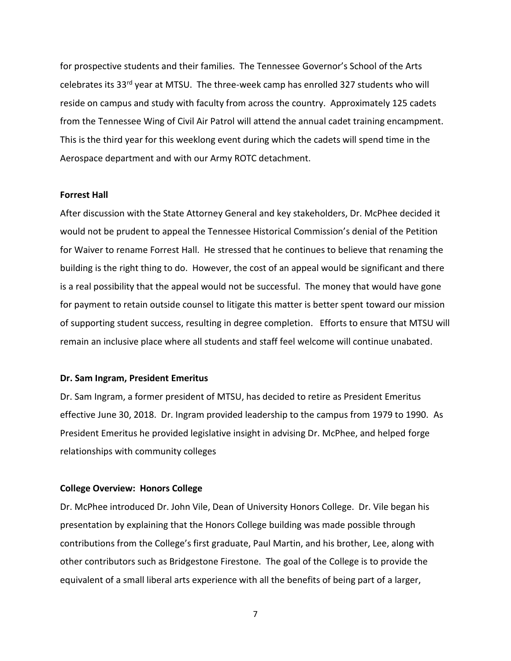for prospective students and their families. The Tennessee Governor's School of the Arts celebrates its 33<sup>rd</sup> year at MTSU. The three-week camp has enrolled 327 students who will reside on campus and study with faculty from across the country. Approximately 125 cadets from the Tennessee Wing of Civil Air Patrol will attend the annual cadet training encampment. This is the third year for this weeklong event during which the cadets will spend time in the Aerospace department and with our Army ROTC detachment.

### **Forrest Hall**

After discussion with the State Attorney General and key stakeholders, Dr. McPhee decided it would not be prudent to appeal the Tennessee Historical Commission's denial of the Petition for Waiver to rename Forrest Hall. He stressed that he continues to believe that renaming the building is the right thing to do. However, the cost of an appeal would be significant and there is a real possibility that the appeal would not be successful. The money that would have gone for payment to retain outside counsel to litigate this matter is better spent toward our mission of supporting student success, resulting in degree completion. Efforts to ensure that MTSU will remain an inclusive place where all students and staff feel welcome will continue unabated.

#### **Dr. Sam Ingram, President Emeritus**

Dr. Sam Ingram, a former president of MTSU, has decided to retire as President Emeritus effective June 30, 2018. Dr. Ingram provided leadership to the campus from 1979 to 1990. As President Emeritus he provided legislative insight in advising Dr. McPhee, and helped forge relationships with community colleges

#### **College Overview: Honors College**

Dr. McPhee introduced Dr. John Vile, Dean of University Honors College. Dr. Vile began his presentation by explaining that the Honors College building was made possible through contributions from the College's first graduate, Paul Martin, and his brother, Lee, along with other contributors such as Bridgestone Firestone. The goal of the College is to provide the equivalent of a small liberal arts experience with all the benefits of being part of a larger,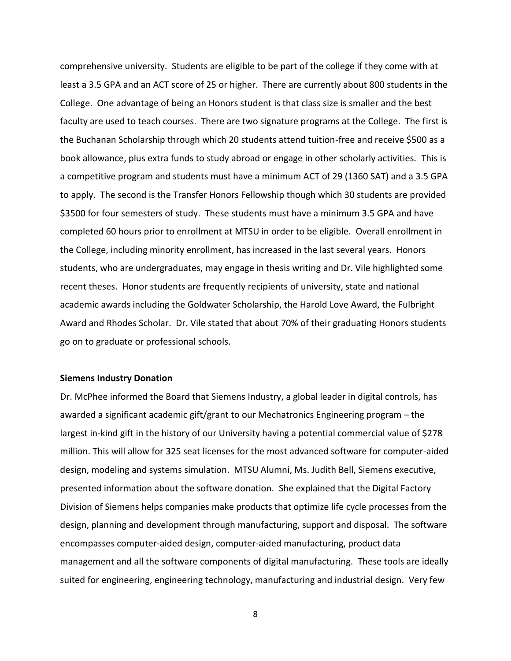comprehensive university. Students are eligible to be part of the college if they come with at least a 3.5 GPA and an ACT score of 25 or higher. There are currently about 800 students in the College. One advantage of being an Honors student is that class size is smaller and the best faculty are used to teach courses. There are two signature programs at the College. The first is the Buchanan Scholarship through which 20 students attend tuition-free and receive \$500 as a book allowance, plus extra funds to study abroad or engage in other scholarly activities. This is a competitive program and students must have a minimum ACT of 29 (1360 SAT) and a 3.5 GPA to apply. The second is the Transfer Honors Fellowship though which 30 students are provided \$3500 for four semesters of study. These students must have a minimum 3.5 GPA and have completed 60 hours prior to enrollment at MTSU in order to be eligible. Overall enrollment in the College, including minority enrollment, has increased in the last several years. Honors students, who are undergraduates, may engage in thesis writing and Dr. Vile highlighted some recent theses. Honor students are frequently recipients of university, state and national academic awards including the Goldwater Scholarship, the Harold Love Award, the Fulbright Award and Rhodes Scholar. Dr. Vile stated that about 70% of their graduating Honors students go on to graduate or professional schools.

#### **Siemens Industry Donation**

Dr. McPhee informed the Board that Siemens Industry, a global leader in digital controls, has awarded a significant academic gift/grant to our Mechatronics Engineering program – the largest in-kind gift in the history of our University having a potential commercial value of \$278 million. This will allow for 325 seat licenses for the most advanced software for computer-aided design, modeling and systems simulation. MTSU Alumni, Ms. Judith Bell, Siemens executive, presented information about the software donation. She explained that the Digital Factory Division of Siemens helps companies make products that optimize life cycle processes from the design, planning and development through manufacturing, support and disposal. The software encompasses computer-aided design, computer-aided manufacturing, product data management and all the software components of digital manufacturing. These tools are ideally suited for engineering, engineering technology, manufacturing and industrial design. Very few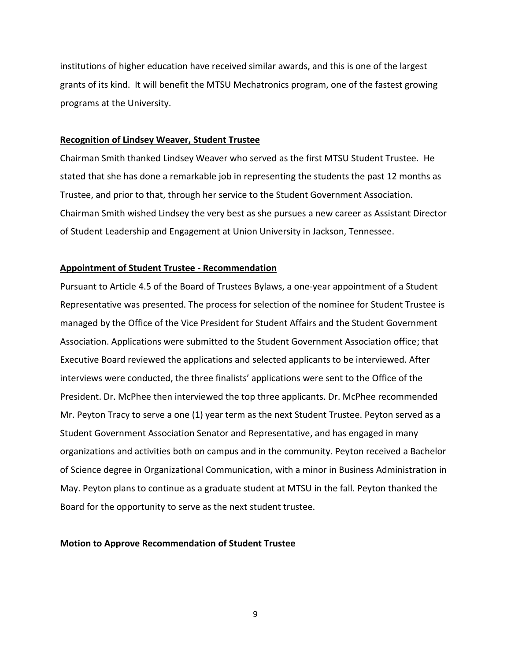institutions of higher education have received similar awards, and this is one of the largest grants of its kind. It will benefit the MTSU Mechatronics program, one of the fastest growing programs at the University.

### **Recognition of Lindsey Weaver, Student Trustee**

Chairman Smith thanked Lindsey Weaver who served as the first MTSU Student Trustee. He stated that she has done a remarkable job in representing the students the past 12 months as Trustee, and prior to that, through her service to the Student Government Association. Chairman Smith wished Lindsey the very best as she pursues a new career as Assistant Director of Student Leadership and Engagement at Union University in Jackson, Tennessee.

### **Appointment of Student Trustee - Recommendation**

Pursuant to Article 4.5 of the Board of Trustees Bylaws, a one-year appointment of a Student Representative was presented. The process for selection of the nominee for Student Trustee is managed by the Office of the Vice President for Student Affairs and the Student Government Association. Applications were submitted to the Student Government Association office; that Executive Board reviewed the applications and selected applicants to be interviewed. After interviews were conducted, the three finalists' applications were sent to the Office of the President. Dr. McPhee then interviewed the top three applicants. Dr. McPhee recommended Mr. Peyton Tracy to serve a one (1) year term as the next Student Trustee. Peyton served as a Student Government Association Senator and Representative, and has engaged in many organizations and activities both on campus and in the community. Peyton received a Bachelor of Science degree in Organizational Communication, with a minor in Business Administration in May. Peyton plans to continue as a graduate student at MTSU in the fall. Peyton thanked the Board for the opportunity to serve as the next student trustee.

#### **Motion to Approve Recommendation of Student Trustee**